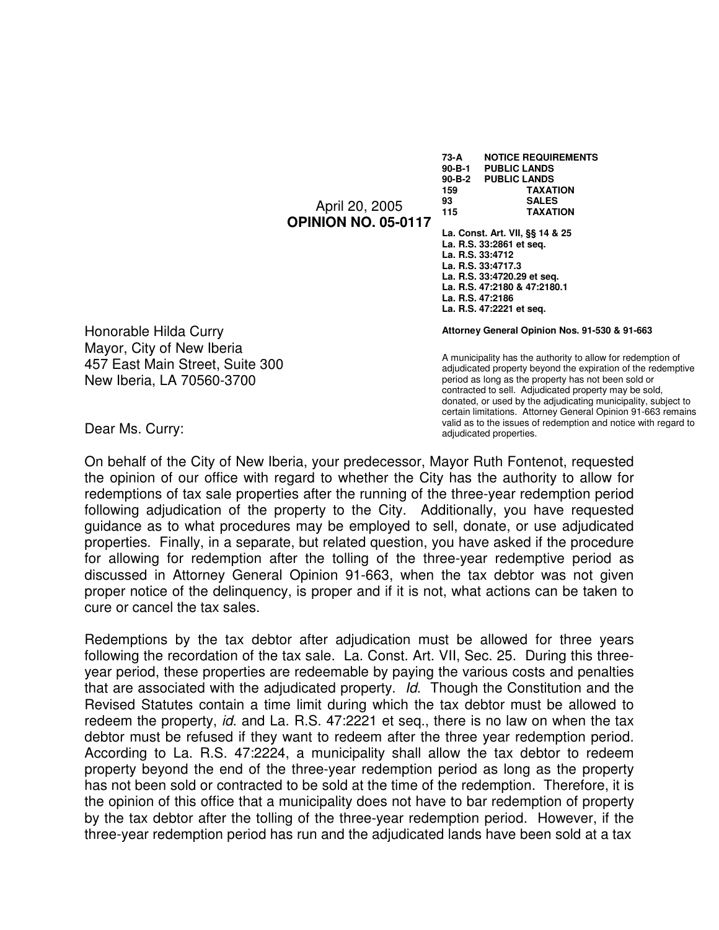April 20, 2005 **OPINION NO. 05-0117**  **73-A NOTICE REQUIREMENTS 90-B-1 PUBLIC LANDS PUBLIC LANDS 159 TAXATION 93 SALES 115 TAXATION** 

**La. Const. Art. VII, §§ 14 & 25 La. R.S. 33:2861 et seq. La. R.S. 33:4712 La. R.S. 33:4717.3 La. R.S. 33:4720.29 et seq. La. R.S. 47:2180 & 47:2180.1 La. R.S. 47:2186 La. R.S. 47:2221 et seq.** 

**Attorney General Opinion Nos. 91-530 & 91-663** 

A municipality has the authority to allow for redemption of adjudicated property beyond the expiration of the redemptive period as long as the property has not been sold or contracted to sell. Adjudicated property may be sold, donated, or used by the adjudicating municipality, subject to certain limitations. Attorney General Opinion 91-663 remains valid as to the issues of redemption and notice with regard to adjudicated properties.

Honorable Hilda Curry Mayor, City of New Iberia 457 East Main Street, Suite 300 New Iberia, LA 70560-3700

Dear Ms. Curry:

On behalf of the City of New Iberia, your predecessor, Mayor Ruth Fontenot, requested the opinion of our office with regard to whether the City has the authority to allow for redemptions of tax sale properties after the running of the three-year redemption period following adjudication of the property to the City. Additionally, you have requested guidance as to what procedures may be employed to sell, donate, or use adjudicated properties. Finally, in a separate, but related question, you have asked if the procedure for allowing for redemption after the tolling of the three-year redemptive period as discussed in Attorney General Opinion 91-663, when the tax debtor was not given proper notice of the delinquency, is proper and if it is not, what actions can be taken to cure or cancel the tax sales.

Redemptions by the tax debtor after adjudication must be allowed for three years following the recordation of the tax sale. La. Const. Art. VII, Sec. 25. During this threeyear period, these properties are redeemable by paying the various costs and penalties that are associated with the adjudicated property. Id. Though the Constitution and the Revised Statutes contain a time limit during which the tax debtor must be allowed to redeem the property, *id.* and La. R.S. 47:2221 et seq., there is no law on when the tax debtor must be refused if they want to redeem after the three year redemption period. According to La. R.S. 47:2224, a municipality shall allow the tax debtor to redeem property beyond the end of the three-year redemption period as long as the property has not been sold or contracted to be sold at the time of the redemption. Therefore, it is the opinion of this office that a municipality does not have to bar redemption of property by the tax debtor after the tolling of the three-year redemption period. However, if the three-year redemption period has run and the adjudicated lands have been sold at a tax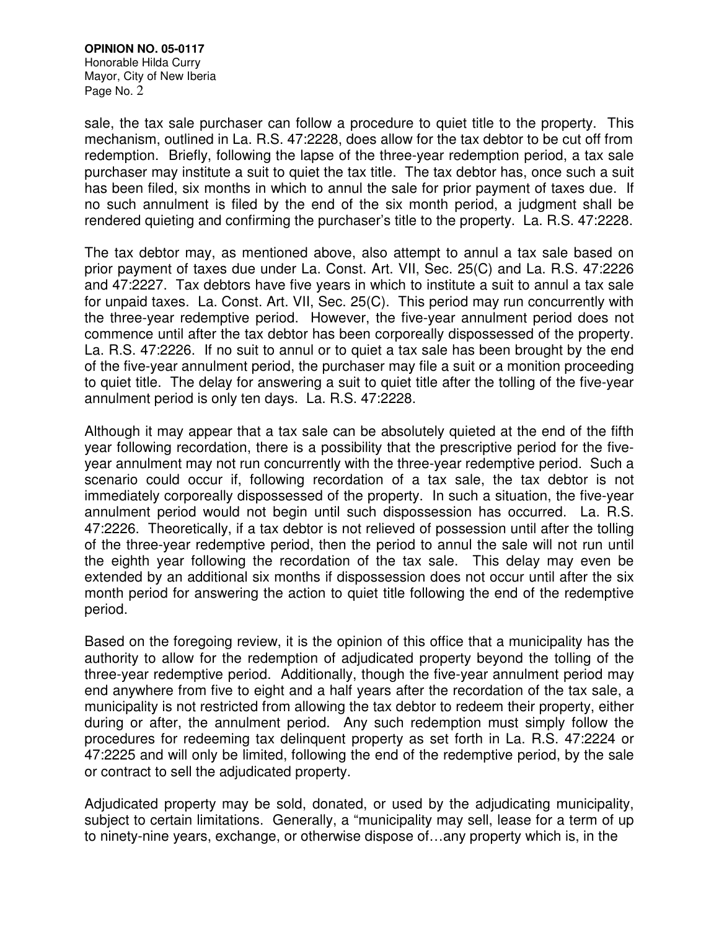#### **OPINION NO. 05-0117**  Honorable Hilda Curry Mayor, City of New Iberia Page No. 2

sale, the tax sale purchaser can follow a procedure to quiet title to the property. This mechanism, outlined in La. R.S. 47:2228, does allow for the tax debtor to be cut off from redemption. Briefly, following the lapse of the three-year redemption period, a tax sale purchaser may institute a suit to quiet the tax title. The tax debtor has, once such a suit has been filed, six months in which to annul the sale for prior payment of taxes due. If no such annulment is filed by the end of the six month period, a judgment shall be rendered quieting and confirming the purchaser's title to the property. La. R.S. 47:2228.

The tax debtor may, as mentioned above, also attempt to annul a tax sale based on prior payment of taxes due under La. Const. Art. VII, Sec. 25(C) and La. R.S. 47:2226 and 47:2227. Tax debtors have five years in which to institute a suit to annul a tax sale for unpaid taxes. La. Const. Art. VII, Sec. 25(C). This period may run concurrently with the three-year redemptive period. However, the five-year annulment period does not commence until after the tax debtor has been corporeally dispossessed of the property. La. R.S. 47:2226. If no suit to annul or to quiet a tax sale has been brought by the end of the five-year annulment period, the purchaser may file a suit or a monition proceeding to quiet title. The delay for answering a suit to quiet title after the tolling of the five-year annulment period is only ten days. La. R.S. 47:2228.

Although it may appear that a tax sale can be absolutely quieted at the end of the fifth year following recordation, there is a possibility that the prescriptive period for the fiveyear annulment may not run concurrently with the three-year redemptive period. Such a scenario could occur if, following recordation of a tax sale, the tax debtor is not immediately corporeally dispossessed of the property. In such a situation, the five-year annulment period would not begin until such dispossession has occurred. La. R.S. 47:2226. Theoretically, if a tax debtor is not relieved of possession until after the tolling of the three-year redemptive period, then the period to annul the sale will not run until the eighth year following the recordation of the tax sale. This delay may even be extended by an additional six months if dispossession does not occur until after the six month period for answering the action to quiet title following the end of the redemptive period.

Based on the foregoing review, it is the opinion of this office that a municipality has the authority to allow for the redemption of adjudicated property beyond the tolling of the three-year redemptive period. Additionally, though the five-year annulment period may end anywhere from five to eight and a half years after the recordation of the tax sale, a municipality is not restricted from allowing the tax debtor to redeem their property, either during or after, the annulment period. Any such redemption must simply follow the procedures for redeeming tax delinquent property as set forth in La. R.S. 47:2224 or 47:2225 and will only be limited, following the end of the redemptive period, by the sale or contract to sell the adjudicated property.

Adjudicated property may be sold, donated, or used by the adjudicating municipality, subject to certain limitations. Generally, a "municipality may sell, lease for a term of up to ninety-nine years, exchange, or otherwise dispose of…any property which is, in the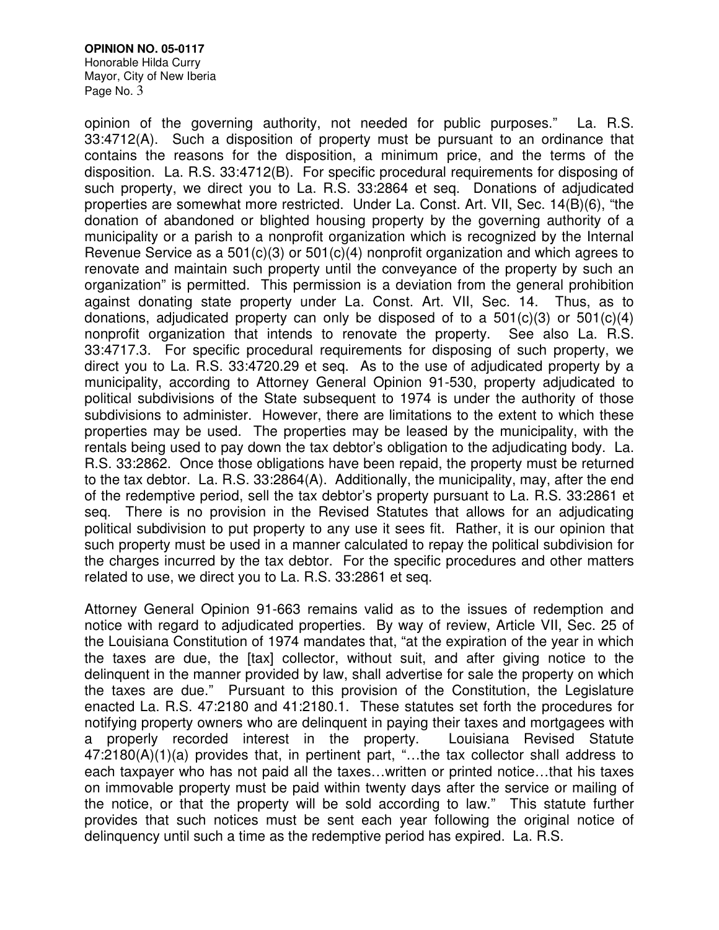### **OPINION NO. 05-0117**

Honorable Hilda Curry Mayor, City of New Iberia Page No. 3

opinion of the governing authority, not needed for public purposes." La. R.S. 33:4712(A). Such a disposition of property must be pursuant to an ordinance that contains the reasons for the disposition, a minimum price, and the terms of the disposition. La. R.S. 33:4712(B). For specific procedural requirements for disposing of such property, we direct you to La. R.S. 33:2864 et seq. Donations of adjudicated properties are somewhat more restricted. Under La. Const. Art. VII, Sec. 14(B)(6), "the donation of abandoned or blighted housing property by the governing authority of a municipality or a parish to a nonprofit organization which is recognized by the Internal Revenue Service as a 501(c)(3) or 501(c)(4) nonprofit organization and which agrees to renovate and maintain such property until the conveyance of the property by such an organization" is permitted. This permission is a deviation from the general prohibition against donating state property under La. Const. Art. VII, Sec. 14. Thus, as to donations, adjudicated property can only be disposed of to a  $501(c)(3)$  or  $501(c)(4)$ nonprofit organization that intends to renovate the property. See also La. R.S. 33:4717.3. For specific procedural requirements for disposing of such property, we direct you to La. R.S. 33:4720.29 et seq. As to the use of adjudicated property by a municipality, according to Attorney General Opinion 91-530, property adjudicated to political subdivisions of the State subsequent to 1974 is under the authority of those subdivisions to administer. However, there are limitations to the extent to which these properties may be used. The properties may be leased by the municipality, with the rentals being used to pay down the tax debtor's obligation to the adjudicating body. La. R.S. 33:2862. Once those obligations have been repaid, the property must be returned to the tax debtor. La. R.S. 33:2864(A). Additionally, the municipality, may, after the end of the redemptive period, sell the tax debtor's property pursuant to La. R.S. 33:2861 et seq. There is no provision in the Revised Statutes that allows for an adjudicating political subdivision to put property to any use it sees fit. Rather, it is our opinion that such property must be used in a manner calculated to repay the political subdivision for the charges incurred by the tax debtor. For the specific procedures and other matters related to use, we direct you to La. R.S. 33:2861 et seq.

Attorney General Opinion 91-663 remains valid as to the issues of redemption and notice with regard to adjudicated properties. By way of review, Article VII, Sec. 25 of the Louisiana Constitution of 1974 mandates that, "at the expiration of the year in which the taxes are due, the [tax] collector, without suit, and after giving notice to the delinquent in the manner provided by law, shall advertise for sale the property on which the taxes are due." Pursuant to this provision of the Constitution, the Legislature enacted La. R.S. 47:2180 and 41:2180.1. These statutes set forth the procedures for notifying property owners who are delinquent in paying their taxes and mortgagees with a properly recorded interest in the property. Louisiana Revised Statute 47:2180(A)(1)(a) provides that, in pertinent part, "…the tax collector shall address to each taxpayer who has not paid all the taxes…written or printed notice…that his taxes on immovable property must be paid within twenty days after the service or mailing of the notice, or that the property will be sold according to law." This statute further provides that such notices must be sent each year following the original notice of delinquency until such a time as the redemptive period has expired. La. R.S.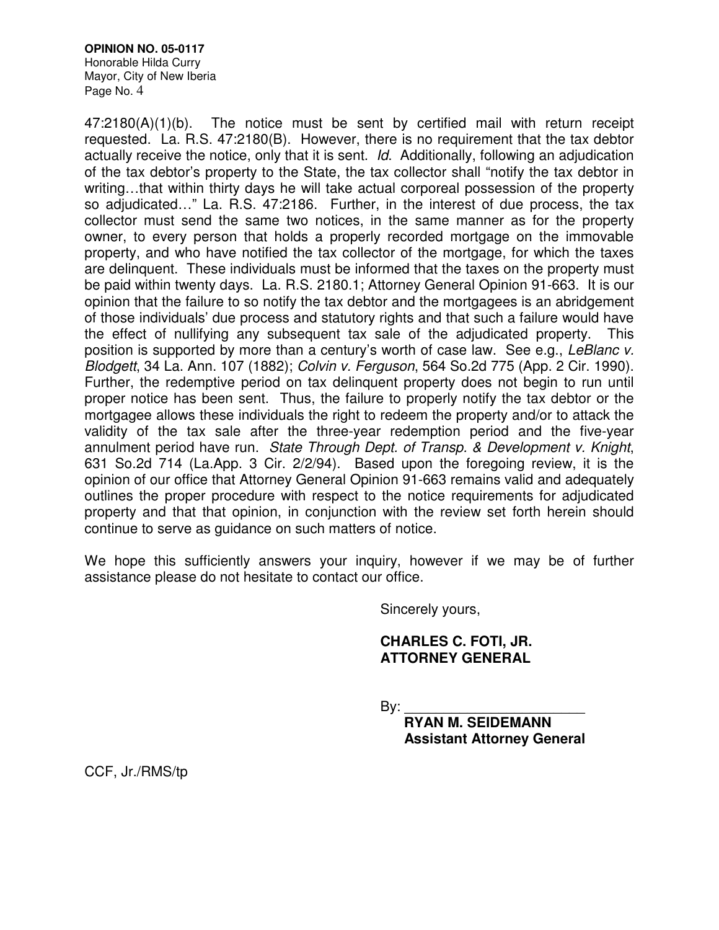#### **OPINION NO. 05-0117**  Honorable Hilda Curry Mayor, City of New Iberia Page No. 4

47:2180(A)(1)(b). The notice must be sent by certified mail with return receipt requested. La. R.S. 47:2180(B). However, there is no requirement that the tax debtor actually receive the notice, only that it is sent. Id. Additionally, following an adjudication of the tax debtor's property to the State, the tax collector shall "notify the tax debtor in writing…that within thirty days he will take actual corporeal possession of the property so adjudicated…" La. R.S. 47:2186. Further, in the interest of due process, the tax collector must send the same two notices, in the same manner as for the property owner, to every person that holds a properly recorded mortgage on the immovable property, and who have notified the tax collector of the mortgage, for which the taxes are delinquent. These individuals must be informed that the taxes on the property must be paid within twenty days. La. R.S. 2180.1; Attorney General Opinion 91-663. It is our opinion that the failure to so notify the tax debtor and the mortgagees is an abridgement of those individuals' due process and statutory rights and that such a failure would have the effect of nullifying any subsequent tax sale of the adjudicated property. This position is supported by more than a century's worth of case law. See e.g., LeBlanc v. Blodgett, 34 La. Ann. 107 (1882); Colvin v. Ferguson, 564 So.2d 775 (App. 2 Cir. 1990). Further, the redemptive period on tax delinquent property does not begin to run until proper notice has been sent. Thus, the failure to properly notify the tax debtor or the mortgagee allows these individuals the right to redeem the property and/or to attack the validity of the tax sale after the three-year redemption period and the five-year annulment period have run. State Through Dept. of Transp. & Development v. Knight, 631 So.2d 714 (La.App. 3 Cir. 2/2/94). Based upon the foregoing review, it is the opinion of our office that Attorney General Opinion 91-663 remains valid and adequately outlines the proper procedure with respect to the notice requirements for adjudicated property and that that opinion, in conjunction with the review set forth herein should continue to serve as guidance on such matters of notice.

We hope this sufficiently answers your inquiry, however if we may be of further assistance please do not hesitate to contact our office.

Sincerely yours,

# **CHARLES C. FOTI, JR. ATTORNEY GENERAL**

 $By:$ 

 **RYAN M. SEIDEMANN Assistant Attorney General** 

CCF, Jr./RMS/tp